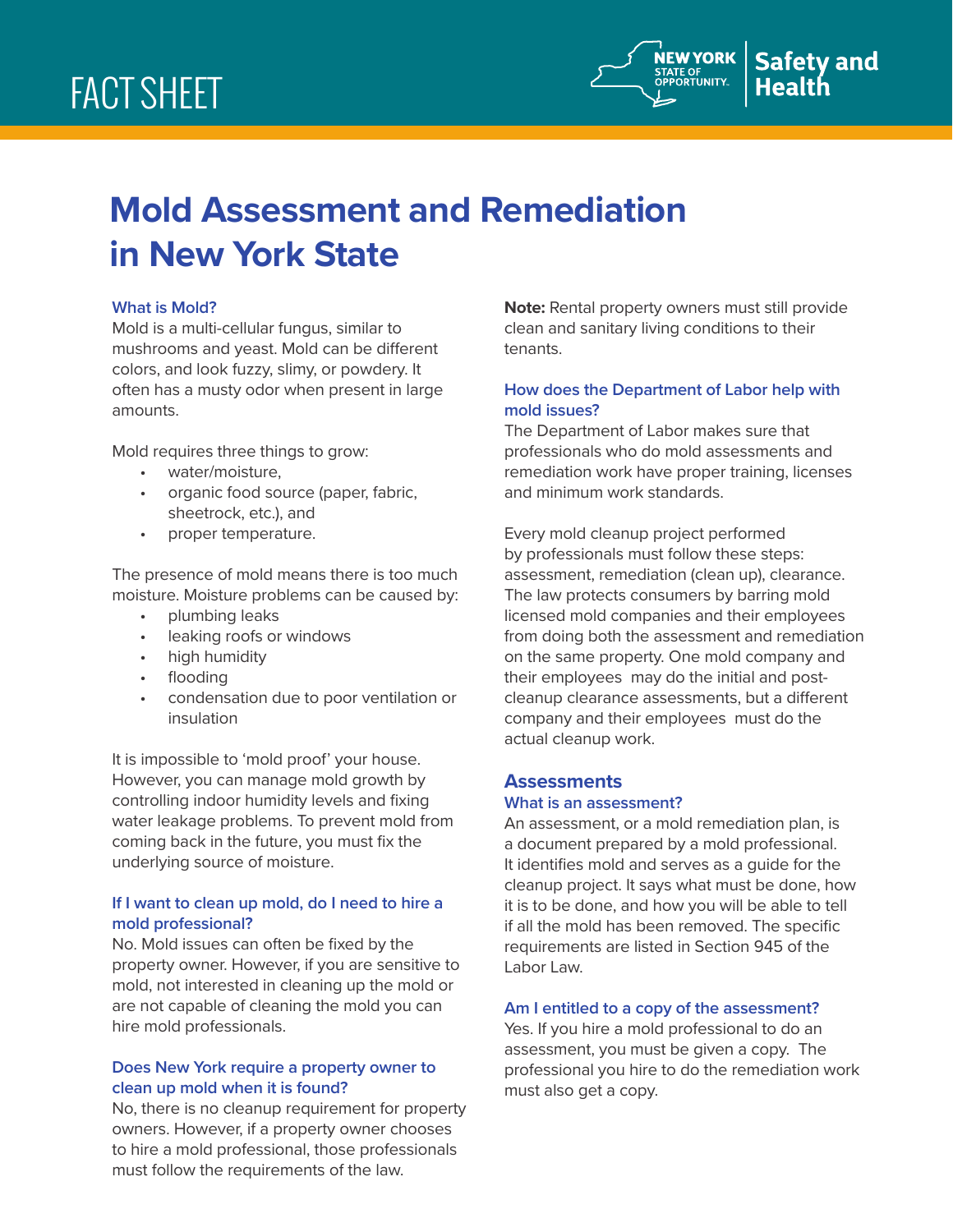

# **Mold Assessment and Remediation in New York State**

# **What is Mold?**

Mold is a multi-cellular fungus, similar to mushrooms and yeast. Mold can be different colors, and look fuzzy, slimy, or powdery. It often has a musty odor when present in large amounts.

Mold requires three things to grow:

- water/moisture,
- organic food source (paper, fabric, sheetrock, etc.), and
- proper temperature.

The presence of mold means there is too much moisture. Moisture problems can be caused by:

- plumbing leaks
- leaking roofs or windows
- high humidity
- flooding
- condensation due to poor ventilation or insulation

It is impossible to 'mold proof' your house. However, you can manage mold growth by controlling indoor humidity levels and fixing water leakage problems. To prevent mold from coming back in the future, you must fix the underlying source of moisture.

## **If I want to clean up mold, do I need to hire a mold professional?**

No. Mold issues can often be fixed by the property owner. However, if you are sensitive to mold, not interested in cleaning up the mold or are not capable of cleaning the mold you can hire mold professionals.

## **Does New York require a property owner to clean up mold when it is found?**

No, there is no cleanup requirement for property owners. However, if a property owner chooses to hire a mold professional, those professionals must follow the requirements of the law.

**Note:** Rental property owners must still provide clean and sanitary living conditions to their tenants.

# **How does the Department of Labor help with mold issues?**

The Department of Labor makes sure that professionals who do mold assessments and remediation work have proper training, licenses and minimum work standards.

Every mold cleanup project performed by professionals must follow these steps: assessment, remediation (clean up), clearance. The law protects consumers by barring mold licensed mold companies and their employees from doing both the assessment and remediation on the same property. One mold company and their employees may do the initial and postcleanup clearance assessments, but a different company and their employees must do the actual cleanup work.

## **Assessments**

#### **What is an assessment?**

An assessment, or a mold remediation plan, is a document prepared by a mold professional. It identifies mold and serves as a guide for the cleanup project. It says what must be done, how it is to be done, and how you will be able to tell if all the mold has been removed. The specific requirements are listed in Section 945 of the Labor Law.

## **Am I entitled to a copy of the assessment?**

Yes. If you hire a mold professional to do an assessment, you must be given a copy. The professional you hire to do the remediation work must also get a copy.